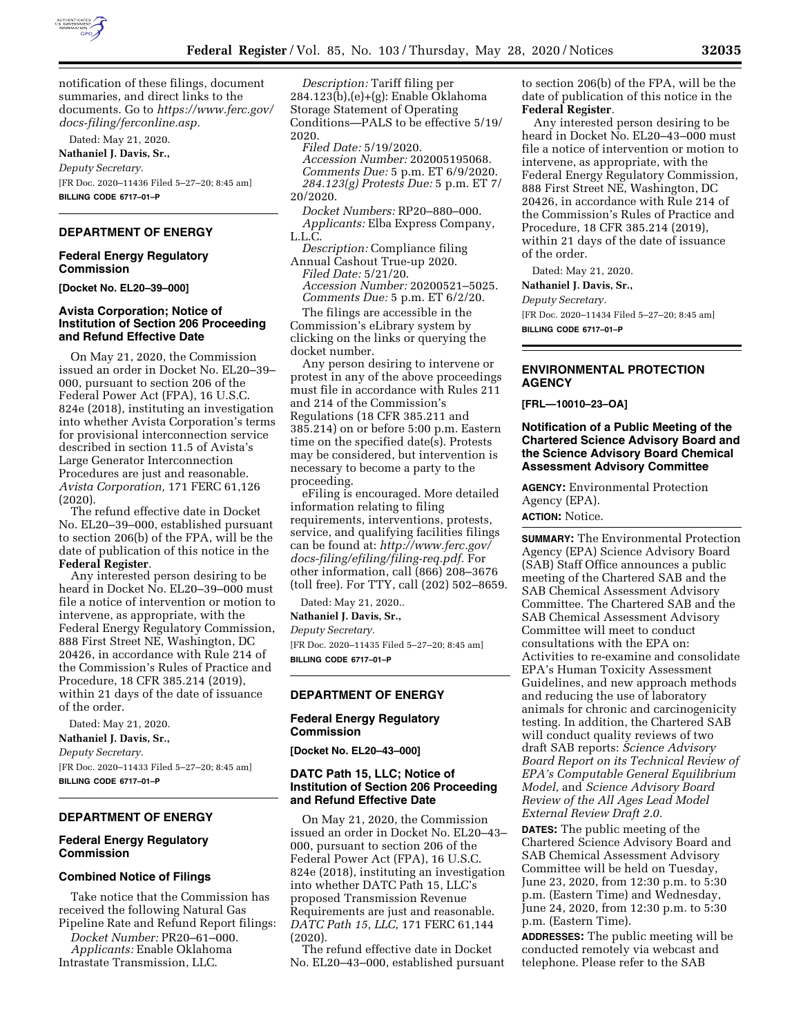

notification of these filings, document summaries, and direct links to the documents. Go to *[https://www.ferc.gov/](https://www.ferc.gov/docs-filing/ferconline.asp) [docs-filing/ferconline.asp.](https://www.ferc.gov/docs-filing/ferconline.asp)* 

Dated: May 21, 2020. **Nathaniel J. Davis, Sr.,**  *Deputy Secretary.*  [FR Doc. 2020–11436 Filed 5–27–20; 8:45 am] **BILLING CODE 6717–01–P** 

## **DEPARTMENT OF ENERGY**

#### **Federal Energy Regulatory Commission**

**[Docket No. EL20–39–000]** 

## **Avista Corporation; Notice of Institution of Section 206 Proceeding and Refund Effective Date**

On May 21, 2020, the Commission issued an order in Docket No. EL20–39– 000, pursuant to section 206 of the Federal Power Act (FPA), 16 U.S.C. 824e (2018), instituting an investigation into whether Avista Corporation's terms for provisional interconnection service described in section 11.5 of Avista's Large Generator Interconnection Procedures are just and reasonable. *Avista Corporation,* 171 FERC 61,126 (2020).

The refund effective date in Docket No. EL20–39–000, established pursuant to section 206(b) of the FPA, will be the date of publication of this notice in the **Federal Register***.* 

Any interested person desiring to be heard in Docket No. EL20–39–000 must file a notice of intervention or motion to intervene, as appropriate, with the Federal Energy Regulatory Commission, 888 First Street NE, Washington, DC 20426, in accordance with Rule 214 of the Commission's Rules of Practice and Procedure, 18 CFR 385.214 (2019), within 21 days of the date of issuance of the order.

Dated: May 21, 2020.

**Nathaniel J. Davis, Sr.,** 

*Deputy Secretary.* 

[FR Doc. 2020–11433 Filed 5–27–20; 8:45 am] **BILLING CODE 6717–01–P** 

## **DEPARTMENT OF ENERGY**

#### **Federal Energy Regulatory Commission**

#### **Combined Notice of Filings**

Take notice that the Commission has received the following Natural Gas Pipeline Rate and Refund Report filings:

*Docket Number:* PR20–61–000. *Applicants:* Enable Oklahoma

Intrastate Transmission, LLC.

*Description:* Tariff filing per 284.123(b),(e)+(g): Enable Oklahoma Storage Statement of Operating Conditions—PALS to be effective 5/19/ 2020.

*Filed Date:* 5/19/2020. *Accession Number:* 202005195068. *Comments Due:* 5 p.m. ET 6/9/2020. *284.123(g) Protests Due:* 5 p.m. ET 7/ 20/2020.

*Docket Numbers:* RP20–880–000. *Applicants:* Elba Express Company, L.L.C.

*Description:* Compliance filing Annual Cashout True-up 2020. *Filed Date:* 5/21/20. *Accession Number:* 20200521–5025. *Comments Due:* 5 p.m. ET 6/2/20.

The filings are accessible in the Commission's eLibrary system by clicking on the links or querying the docket number.

Any person desiring to intervene or protest in any of the above proceedings must file in accordance with Rules 211 and 214 of the Commission's Regulations (18 CFR 385.211 and 385.214) on or before 5:00 p.m. Eastern time on the specified date(s). Protests may be considered, but intervention is necessary to become a party to the proceeding.

eFiling is encouraged. More detailed information relating to filing requirements, interventions, protests, service, and qualifying facilities filings can be found at: *[http://www.ferc.gov/](http://www.ferc.gov/docs-filing/efiling/filing-req.pdf)  [docs-filing/efiling/filing-req.pdf.](http://www.ferc.gov/docs-filing/efiling/filing-req.pdf)* For other information, call (866) 208–3676 (toll free). For TTY, call (202) 502–8659.

Dated: May 21, 2020..

**Nathaniel J. Davis, Sr.,** 

*Deputy Secretary.* 

[FR Doc. 2020–11435 Filed 5–27–20; 8:45 am] **BILLING CODE 6717–01–P** 

## **DEPARTMENT OF ENERGY**

#### **Federal Energy Regulatory Commission**

**[Docket No. EL20–43–000]** 

## **DATC Path 15, LLC; Notice of Institution of Section 206 Proceeding and Refund Effective Date**

On May 21, 2020, the Commission issued an order in Docket No. EL20–43– 000, pursuant to section 206 of the Federal Power Act (FPA), 16 U.S.C. 824e (2018), instituting an investigation into whether DATC Path 15, LLC's proposed Transmission Revenue Requirements are just and reasonable. *DATC Path 15, LLC,* 171 FERC 61,144 (2020).

The refund effective date in Docket No. EL20–43–000, established pursuant to section 206(b) of the FPA, will be the date of publication of this notice in the **Federal Register***.* 

Any interested person desiring to be heard in Docket No. EL20–43–000 must file a notice of intervention or motion to intervene, as appropriate, with the Federal Energy Regulatory Commission, 888 First Street NE, Washington, DC 20426, in accordance with Rule 214 of the Commission's Rules of Practice and Procedure, 18 CFR 385.214 (2019), within 21 days of the date of issuance of the order.

Dated: May 21, 2020.

**Nathaniel J. Davis, Sr.,** 

*Deputy Secretary.* 

[FR Doc. 2020–11434 Filed 5–27–20; 8:45 am] **BILLING CODE 6717–01–P** 

## **ENVIRONMENTAL PROTECTION AGENCY**

**[FRL—10010–23–OA]** 

## **Notification of a Public Meeting of the Chartered Science Advisory Board and the Science Advisory Board Chemical Assessment Advisory Committee**

**AGENCY:** Environmental Protection Agency (EPA). **ACTION:** Notice.

**SUMMARY:** The Environmental Protection Agency (EPA) Science Advisory Board (SAB) Staff Office announces a public meeting of the Chartered SAB and the SAB Chemical Assessment Advisory Committee. The Chartered SAB and the SAB Chemical Assessment Advisory Committee will meet to conduct consultations with the EPA on: Activities to re-examine and consolidate EPA's Human Toxicity Assessment Guidelines, and new approach methods and reducing the use of laboratory animals for chronic and carcinogenicity testing. In addition, the Chartered SAB will conduct quality reviews of two draft SAB reports: *Science Advisory Board Report on its Technical Review of EPA's Computable General Equilibrium Model,* and *Science Advisory Board Review of the All Ages Lead Model External Review Draft 2.0.* 

**DATES:** The public meeting of the Chartered Science Advisory Board and SAB Chemical Assessment Advisory Committee will be held on Tuesday, June 23, 2020, from 12:30 p.m. to 5:30 p.m. (Eastern Time) and Wednesday, June 24, 2020, from 12:30 p.m. to 5:30 p.m. (Eastern Time).

**ADDRESSES:** The public meeting will be conducted remotely via webcast and telephone. Please refer to the SAB